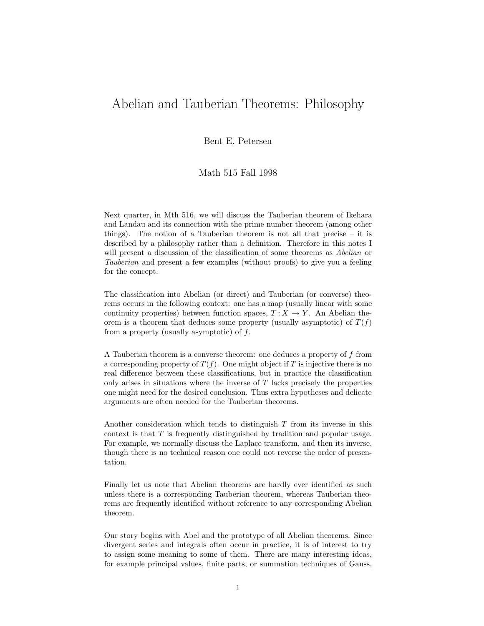## Abelian and Tauberian Theorems: Philosophy

Bent E. Petersen

## Math 515 Fall 1998

Next quarter, in Mth 516, we will discuss the Tauberian theorem of Ikehara and Landau and its connection with the prime number theorem (among other things). The notion of a Tauberian theorem is not all that precise – it is described by a philosophy rather than a definition. Therefore in this notes I will present a discussion of the classification of some theorems as *Abelian* or *Tauberian* and present a few examples (without proofs) to give you a feeling for the concept.

The classification into Abelian (or direct) and Tauberian (or converse) theorems occurs in the following context: one has a map (usually linear with some continuity properties) between function spaces,  $T : X \to Y$ . An Abelian theorem is a theorem that deduces some property (usually asymptotic) of  $T(f)$ from a property (usually asymptotic) of f.

A Tauberian theorem is a converse theorem: one deduces a property of f from a corresponding property of  $T(f)$ . One might object if T is injective there is no real difference between these classifications, but in practice the classification only arises in situations where the inverse of  $T$  lacks precisely the properties one might need for the desired conclusion. Thus extra hypotheses and delicate arguments are often needed for the Tauberian theorems.

Another consideration which tends to distinguish  $T$  from its inverse in this context is that T is frequently distinguished by tradition and popular usage. For example, we normally discuss the Laplace transform, and then its inverse, though there is no technical reason one could not reverse the order of presentation.

Finally let us note that Abelian theorems are hardly ever identified as such unless there is a corresponding Tauberian theorem, whereas Tauberian theorems are frequently identified without reference to any corresponding Abelian theorem.

Our story begins with Abel and the prototype of all Abelian theorems. Since divergent series and integrals often occur in practice, it is of interest to try to assign some meaning to some of them. There are many interesting ideas, for example principal values, finite parts, or summation techniques of Gauss,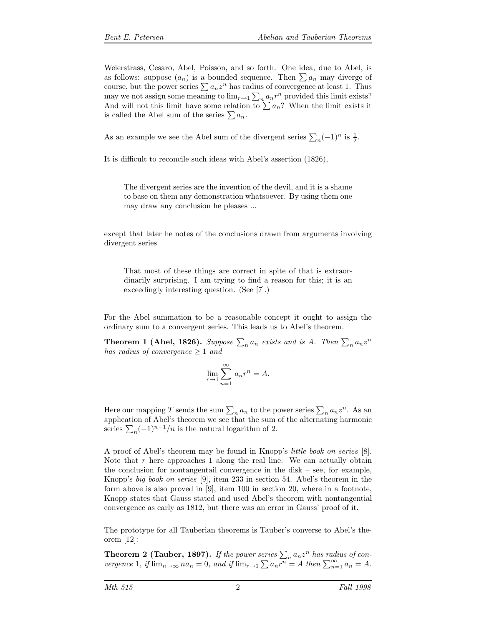Weierstrass, Cesaro, Abel, Poisson, and so forth. One idea, due to Abel, is as follows: suppose  $(a_n)$  is a bounded sequence. Then  $\sum a_n$  may diverge of course, but the power series  $\sum a_n z^n$  has radius of convergence at least 1. Thus may we not assign some meaning to  $\lim_{r \to 1} \sum_n a_n r^n$  provided this limit exists? And will not this limit have some relation to  $\sum a_n$ ? When the limit exists it is called the Abel sum of the series  $\sum a_n$ .

As an example we see the Abel sum of the divergent series  $\sum_{n}(-1)^{n}$  is  $\frac{1}{2}$ .

It is difficult to reconcile such ideas with Abel's assertion (1826),

The divergent series are the invention of the devil, and it is a shame to base on them any demonstration whatsoever. By using them one may draw any conclusion he pleases ...

except that later he notes of the conclusions drawn from arguments involving divergent series

That most of these things are correct in spite of that is extraordinarily surprising. I am trying to find a reason for this; it is an exceedingly interesting question. (See [7].)

For the Abel summation to be a reasonable concept it ought to assign the ordinary sum to a convergent series. This leads us to Abel's theorem.

**Theorem 1 (Abel, 1826).** Suppose  $\sum_n a_n$  exists and is A. Then  $\sum_n a_n z^n$ *has radius of convergence*  $\geq 1$  *and* 

$$
\lim_{r \to 1} \sum_{n=1}^{\infty} a_n r^n = A.
$$

Here our mapping T sends the sum  $\sum_{n} a_n$  to the power series  $\sum_{n} a_n z^n$ . As an application of Abel's theorem we see that the sum of the alternating harmonic series  $\sum_{n}(-1)^{n-1}/n$  is the natural logarithm of 2.

A proof of Abel's theorem may be found in Knopp's *little book on series* [8]. Note that r here approaches 1 along the real line. We can actually obtain the conclusion for nontangentail convergence in the disk – see, for example, Knopp's *big book on series* [9], item 233 in section 54. Abel's theorem in the form above is also proved in [9], item 100 in section 20, where in a footnote, Knopp states that Gauss stated and used Abel's theorem with nontangential convergence as early as 1812, but there was an error in Gauss' proof of it.

The prototype for all Tauberian theorems is Tauber's converse to Abel's theorem [12]:

**Theorem 2 (Tauber, 1897).** If the power series  $\sum_{n} a_n z^n$  has radius of con*vergence* 1, if  $\lim_{n\to\infty} na_n = 0$ , and if  $\lim_{n\to\infty} \sum a_n \overline{r^n} = A$  then  $\sum_{n=1}^{\infty} a_n = A$ .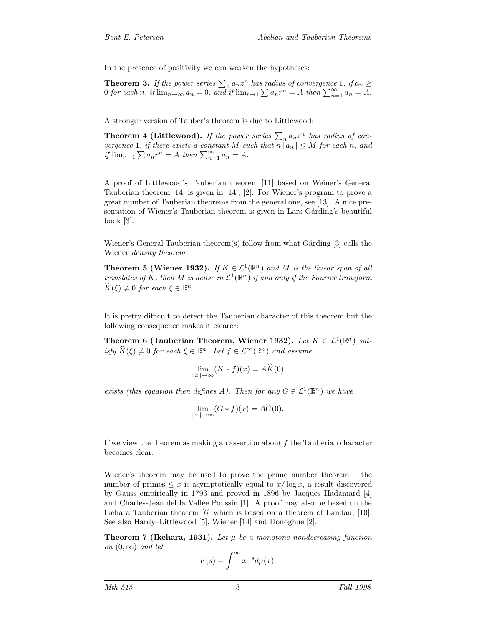In the presence of positivity we can weaken the hypotheses:

**Theorem 3.** If the power series  $\sum_{n} a_n z^n$  has radius of convergence 1, if  $a_n \geq$ 0 *for each* n, if  $\lim_{n\to\infty} a_n = 0$ , and if  $\lim_{n\to\infty} \sum a_n r^n = A$  then  $\sum_{n=1}^{\infty} a_n = A$ .

A stronger version of Tauber's theorem is due to Littlewood:

**Theorem 4 (Littlewood).** If the power series  $\sum_{n} a_n z^n$  has radius of con*vergence* 1*, if there exists a constant* M *such that*  $\overline{n} |a_n| \leq M$  *for each* n, and *if*  $\lim_{r \to 1} \sum a_n r^n = A$  *then*  $\sum_{n=1}^{\infty} a_n = A$ *.* 

A proof of Littlewood's Tauberian theorem [11] based on Weiner's General Tauberian theorem [14] is given in [14], [2]. For Wiener's program to prove a great number of Tauberian theorems from the general one, see [13]. A nice presentation of Wiener's Tauberian theorem is given in Lars Gårding's beautiful book [3].

Wiener's General Tauberian theorem(s) follow from what Gårding  $[3]$  calls the Wiener *density theorem*:

**Theorem 5 (Wiener 1932).** *If*  $K \in \mathcal{L}^1(\mathbb{R}^n)$  *and M is the linear span of all translates of* K, then M *is dense in*  $\mathcal{L}^1(\mathbb{R}^n)$  *if and only if the Fourier transform*  $\widehat{K}(\xi) \neq 0$  *for each*  $\xi \in \mathbb{R}^n$ .

It is pretty difficult to detect the Tauberian character of this theorem but the following consequence makes it clearer:

**Theorem 6 (Tauberian Theorem, Wiener 1932).** *Let*  $K \in \mathcal{L}^1(\mathbb{R}^n)$  *satisfy*  $\hat{K}(\xi) \neq 0$  *for each*  $\xi \in \mathbb{R}^n$ *. Let*  $f \in \mathcal{L}^{\infty}(\mathbb{R}^n)$  *and assume* 

$$
\lim_{|x| \to \infty} (K * f)(x) = A\widehat{K}(0)
$$

*exists (this equation then defines A). Then for any*  $G \in \mathcal{L}^1(\mathbb{R}^n)$  *we have* 

$$
\lim_{\|x\| \to \infty} (G * f)(x) = A\widehat{G}(0).
$$

If we view the theorem as making an assertion about  $f$  the Tauberian character becomes clear.

Wiener's theorem may be used to prove the prime number theorem – the number of primes  $\leq x$  is asymptotically equal to  $x/\log x$ , a result discovered by Gauss empirically in 1793 and proved in 1896 by Jacques Hadamard [4] and Charles-Jean del la Vallée Poussin [1]. A proof may also be based on the Ikehara Tauberian theorem [6] which is based on a theorem of Landau, [10]. See also Hardy–Littlewood [5], Wiener [14] and Donoghue [2].

**Theorem 7 (Ikehara, 1931).** Let  $\mu$  be a monotone nondecreasing function *on*  $(0, \infty)$  *and let* 

$$
F(s) = \int_1^\infty x^{-s} d\mu(x).
$$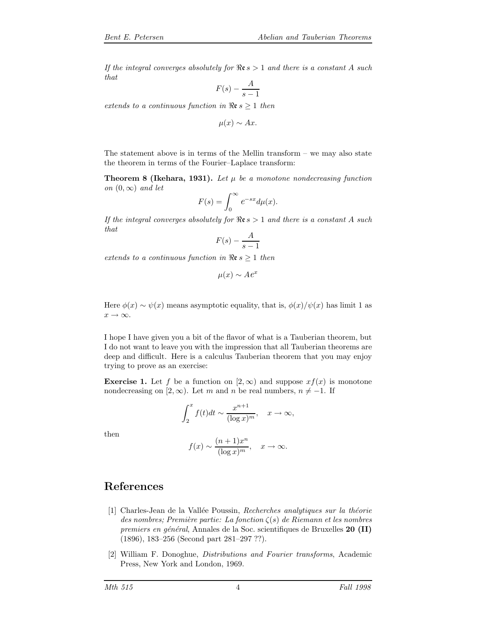*If the integral converges absolutely for*  $\Re \epsilon s > 1$  *and there is a constant* A *such that*

$$
F(s) - \frac{A}{s - 1}
$$

*extends to a continuous function in*  $\Re$ **e**  $s \geq 1$  *then* 

 $\mu(x) \sim Ax$ .

The statement above is in terms of the Mellin transform – we may also state the theorem in terms of the Fourier–Laplace transform:

**Theorem 8 (Ikehara, 1931).** Let  $\mu$  be a monotone nondecreasing function *on*  $(0, \infty)$  *and let* 

$$
F(s) = \int_0^\infty e^{-sx} d\mu(x).
$$

*If the integral converges absolutely for*  $\Re$ **e**  $s > 1$  *and there is a constant* A *such that*

$$
F(s) - \frac{A}{s-1}
$$

*extends to a continuous function in*  $\Re \epsilon s \geq 1$  *then* 

$$
\mu(x) \sim A e^x
$$

Here  $\phi(x) \sim \psi(x)$  means asymptotic equality, that is,  $\phi(x)/\psi(x)$  has limit 1 as  $x \to \infty$ .

I hope I have given you a bit of the flavor of what is a Tauberian theorem, but I do not want to leave you with the impression that all Tauberian theorems are deep and difficult. Here is a calculus Tauberian theorem that you may enjoy trying to prove as an exercise:

**Exercise 1.** Let f be a function on  $[2,\infty)$  and suppose  $xf(x)$  is monotone nondecreasing on [2, ∞). Let m and n be real numbers,  $n \neq -1$ . If

$$
\int_2^x f(t)dt \sim \frac{x^{n+1}}{(\log x)^m}, \quad x \to \infty,
$$

then

$$
f(x) \sim \frac{(n+1)x^n}{(\log x)^m}, \quad x \to \infty.
$$

## **References**

- [1] Charles-Jean de la Vall´ee Poussin, *Recherches analytiques sur la th´eorie*  $des \textit{ nombres:}$  *Première partie: La fonction*  $\zeta(s)$  *de Riemann et les nombres premiers en g´en´eral*, Annales de la Soc. scientifiques de Bruxelles **20 (II)** (1896), 183–256 (Second part 281–297 ??).
- [2] William F. Donoghue, *Distributions and Fourier transforms*, Academic Press, New York and London, 1969.